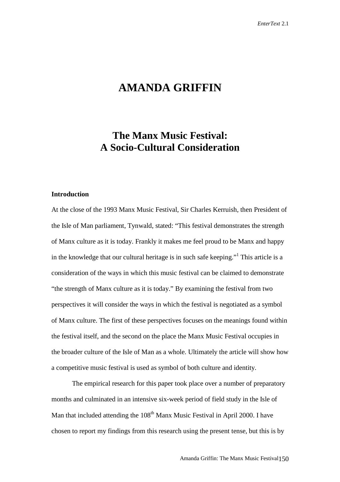# **AMANDA GRIFFIN**

## **The Manx Music Festival: A Socio-Cultural Consideration**

#### **Introduction**

At the close of the 1993 Manx Music Festival, Sir Charles Kerruish, then President of the Isle of Man parliament, Tynwald, stated: "This festival demonstrates the strength of Manx culture as it is today. Frankly it makes me feel proud to be Manx and happy in the knowledge that our cultural heritage is in such safe keeping."<sup>1</sup> This article is a consideration of the ways in which this music festival can be claimed to demonstrate "the strength of Manx culture as it is today." By examining the festival from two perspectives it will consider the ways in which the festival is negotiated as a symbol of Manx culture. The first of these perspectives focuses on the meanings found within the festival itself, and the second on the place the Manx Music Festival occupies in the broader culture of the Isle of Man as a whole. Ultimately the article will show how a competitive music festival is used as symbol of both culture and identity.

The empirical research for this paper took place over a number of preparatory months and culminated in an intensive six-week period of field study in the Isle of Man that included attending the  $108<sup>th</sup>$  Manx Music Festival in April 2000. I have chosen to report my findings from this research using the present tense, but this is by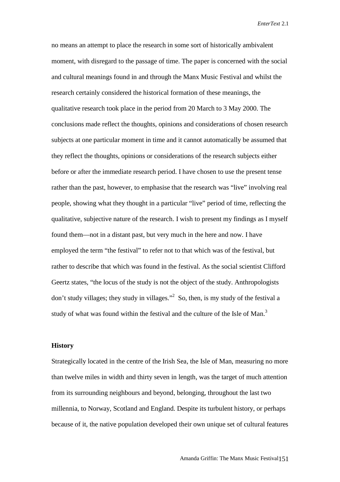no means an attempt to place the research in some sort of historically ambivalent moment, with disregard to the passage of time. The paper is concerned with the social and cultural meanings found in and through the Manx Music Festival and whilst the research certainly considered the historical formation of these meanings, the qualitative research took place in the period from 20 March to 3 May 2000. The conclusions made reflect the thoughts, opinions and considerations of chosen research subjects at one particular moment in time and it cannot automatically be assumed that they reflect the thoughts, opinions or considerations of the research subjects either before or after the immediate research period. I have chosen to use the present tense rather than the past, however, to emphasise that the research was "live" involving real people, showing what they thought in a particular "live" period of time, reflecting the qualitative, subjective nature of the research. I wish to present my findings as I myself found them—not in a distant past, but very much in the here and now. I have employed the term "the festival" to refer not to that which was of the festival, but rather to describe that which was found in the festival. As the social scientist Clifford Geertz states, "the locus of the study is not the object of the study. Anthropologists don't study villages; they study in villages."<sup>2</sup> So, then, is my study of the festival a study of what was found within the festival and the culture of the Isle of Man.<sup>3</sup>

#### **History**

Strategically located in the centre of the Irish Sea, the Isle of Man, measuring no more than twelve miles in width and thirty seven in length, was the target of much attention from its surrounding neighbours and beyond, belonging, throughout the last two millennia, to Norway, Scotland and England. Despite its turbulent history, or perhaps because of it, the native population developed their own unique set of cultural features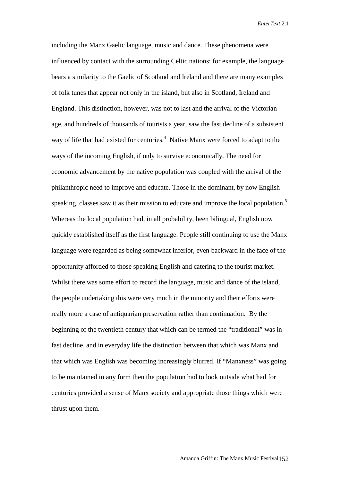including the Manx Gaelic language, music and dance. These phenomena were influenced by contact with the surrounding Celtic nations; for example, the language bears a similarity to the Gaelic of Scotland and Ireland and there are many examples of folk tunes that appear not only in the island, but also in Scotland, Ireland and England. This distinction, however, was not to last and the arrival of the Victorian age, and hundreds of thousands of tourists a year, saw the fast decline of a subsistent way of life that had existed for centuries.<sup>4</sup> Native Manx were forced to adapt to the ways of the incoming English, if only to survive economically. The need for economic advancement by the native population was coupled with the arrival of the philanthropic need to improve and educate. Those in the dominant, by now Englishspeaking, classes saw it as their mission to educate and improve the local population.<sup>5</sup> Whereas the local population had, in all probability, been bilingual, English now quickly established itself as the first language. People still continuing to use the Manx language were regarded as being somewhat inferior, even backward in the face of the opportunity afforded to those speaking English and catering to the tourist market. Whilst there was some effort to record the language, music and dance of the island, the people undertaking this were very much in the minority and their efforts were really more a case of antiquarian preservation rather than continuation. By the beginning of the twentieth century that which can be termed the "traditional" was in fast decline, and in everyday life the distinction between that which was Manx and that which was English was becoming increasingly blurred. If "Manxness" was going to be maintained in any form then the population had to look outside what had for centuries provided a sense of Manx society and appropriate those things which were thrust upon them.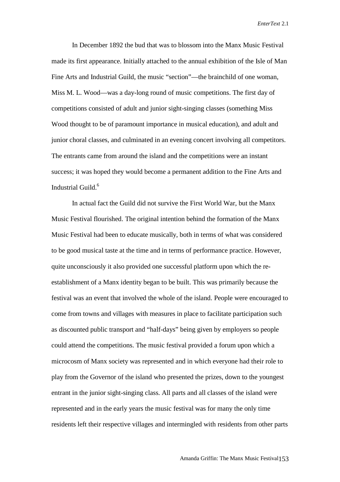In December 1892 the bud that was to blossom into the Manx Music Festival made its first appearance. Initially attached to the annual exhibition of the Isle of Man Fine Arts and Industrial Guild, the music "section"—the brainchild of one woman, Miss M. L. Wood—was a day-long round of music competitions. The first day of competitions consisted of adult and junior sight-singing classes (something Miss Wood thought to be of paramount importance in musical education), and adult and junior choral classes, and culminated in an evening concert involving all competitors. The entrants came from around the island and the competitions were an instant success; it was hoped they would become a permanent addition to the Fine Arts and Industrial Guild.<sup>6</sup>

In actual fact the Guild did not survive the First World War, but the Manx Music Festival flourished. The original intention behind the formation of the Manx Music Festival had been to educate musically, both in terms of what was considered to be good musical taste at the time and in terms of performance practice. However, quite unconsciously it also provided one successful platform upon which the reestablishment of a Manx identity began to be built. This was primarily because the festival was an event that involved the whole of the island. People were encouraged to come from towns and villages with measures in place to facilitate participation such as discounted public transport and "half-days" being given by employers so people could attend the competitions. The music festival provided a forum upon which a microcosm of Manx society was represented and in which everyone had their role to play from the Governor of the island who presented the prizes, down to the youngest entrant in the junior sight-singing class. All parts and all classes of the island were represented and in the early years the music festival was for many the only time residents left their respective villages and intermingled with residents from other parts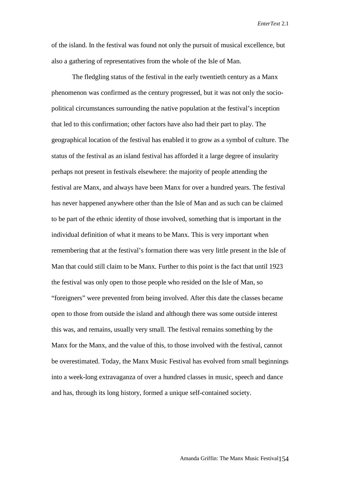of the island. In the festival was found not only the pursuit of musical excellence, but also a gathering of representatives from the whole of the Isle of Man.

The fledgling status of the festival in the early twentieth century as a Manx phenomenon was confirmed as the century progressed, but it was not only the sociopolitical circumstances surrounding the native population at the festival's inception that led to this confirmation; other factors have also had their part to play. The geographical location of the festival has enabled it to grow as a symbol of culture. The status of the festival as an island festival has afforded it a large degree of insularity perhaps not present in festivals elsewhere: the majority of people attending the festival are Manx, and always have been Manx for over a hundred years. The festival has never happened anywhere other than the Isle of Man and as such can be claimed to be part of the ethnic identity of those involved, something that is important in the individual definition of what it means to be Manx. This is very important when remembering that at the festival's formation there was very little present in the Isle of Man that could still claim to be Manx. Further to this point is the fact that until 1923 the festival was only open to those people who resided on the Isle of Man, so "foreigners" were prevented from being involved. After this date the classes became open to those from outside the island and although there was some outside interest this was, and remains, usually very small. The festival remains something by the Manx for the Manx, and the value of this, to those involved with the festival, cannot be overestimated. Today, the Manx Music Festival has evolved from small beginnings into a week-long extravaganza of over a hundred classes in music, speech and dance and has, through its long history, formed a unique self-contained society.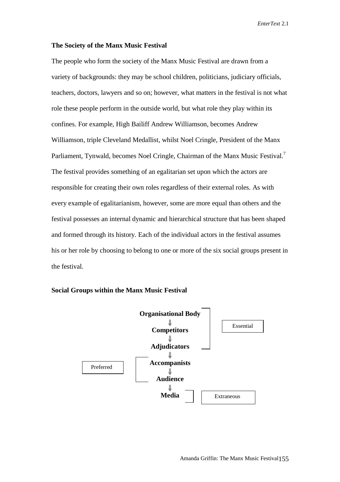#### **The Society of the Manx Music Festival**

The people who form the society of the Manx Music Festival are drawn from a variety of backgrounds: they may be school children, politicians, judiciary officials, teachers, doctors, lawyers and so on; however, what matters in the festival is not what role these people perform in the outside world, but what role they play within its confines. For example, High Bailiff Andrew Williamson, becomes Andrew Williamson, triple Cleveland Medallist, whilst Noel Cringle, President of the Manx Parliament, Tynwald, becomes Noel Cringle, Chairman of the Manx Music Festival.<sup>7</sup> The festival provides something of an egalitarian set upon which the actors are responsible for creating their own roles regardless of their external roles. As with every example of egalitarianism, however, some are more equal than others and the festival possesses an internal dynamic and hierarchical structure that has been shaped and formed through its history. Each of the individual actors in the festival assumes his or her role by choosing to belong to one or more of the six social groups present in the festival.



**Social Groups within the Manx Music Festival**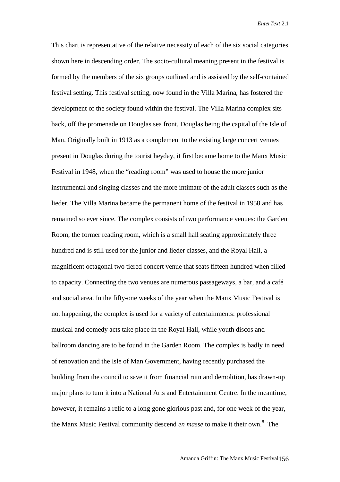This chart is representative of the relative necessity of each of the six social categories shown here in descending order. The socio-cultural meaning present in the festival is formed by the members of the six groups outlined and is assisted by the self-contained festival setting. This festival setting, now found in the Villa Marina, has fostered the development of the society found within the festival. The Villa Marina complex sits back, off the promenade on Douglas sea front, Douglas being the capital of the Isle of Man. Originally built in 1913 as a complement to the existing large concert venues present in Douglas during the tourist heyday, it first became home to the Manx Music Festival in 1948, when the "reading room" was used to house the more junior instrumental and singing classes and the more intimate of the adult classes such as the lieder. The Villa Marina became the permanent home of the festival in 1958 and has remained so ever since. The complex consists of two performance venues: the Garden Room, the former reading room, which is a small hall seating approximately three hundred and is still used for the junior and lieder classes, and the Royal Hall, a magnificent octagonal two tiered concert venue that seats fifteen hundred when filled to capacity. Connecting the two venues are numerous passageways, a bar, and a café and social area. In the fifty-one weeks of the year when the Manx Music Festival is not happening, the complex is used for a variety of entertainments: professional musical and comedy acts take place in the Royal Hall, while youth discos and ballroom dancing are to be found in the Garden Room. The complex is badly in need of renovation and the Isle of Man Government, having recently purchased the building from the council to save it from financial ruin and demolition, has drawn-up major plans to turn it into a National Arts and Entertainment Centre. In the meantime, however, it remains a relic to a long gone glorious past and, for one week of the year, the Manx Music Festival community descend *en masse* to make it their own.<sup>8</sup> The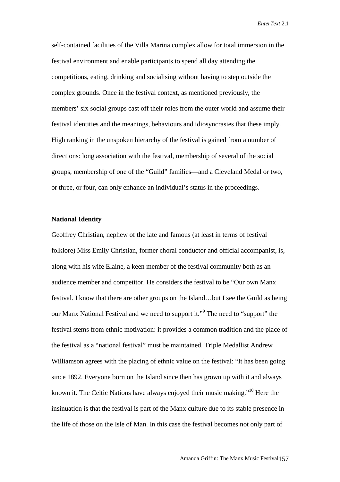self-contained facilities of the Villa Marina complex allow for total immersion in the festival environment and enable participants to spend all day attending the competitions, eating, drinking and socialising without having to step outside the complex grounds. Once in the festival context, as mentioned previously, the members' six social groups cast off their roles from the outer world and assume their festival identities and the meanings, behaviours and idiosyncrasies that these imply. High ranking in the unspoken hierarchy of the festival is gained from a number of directions: long association with the festival, membership of several of the social groups, membership of one of the "Guild" families—and a Cleveland Medal or two, or three, or four, can only enhance an individual's status in the proceedings.

## **National Identity**

Geoffrey Christian, nephew of the late and famous (at least in terms of festival folklore) Miss Emily Christian, former choral conductor and official accompanist, is, along with his wife Elaine, a keen member of the festival community both as an audience member and competitor. He considers the festival to be "Our own Manx festival. I know that there are other groups on the Island…but I see the Guild as being our Manx National Festival and we need to support it."<sup>9</sup> The need to "support" the festival stems from ethnic motivation: it provides a common tradition and the place of the festival as a "national festival" must be maintained. Triple Medallist Andrew Williamson agrees with the placing of ethnic value on the festival: "It has been going since 1892. Everyone born on the Island since then has grown up with it and always known it. The Celtic Nations have always enjoyed their music making."10 Here the insinuation is that the festival is part of the Manx culture due to its stable presence in the life of those on the Isle of Man. In this case the festival becomes not only part of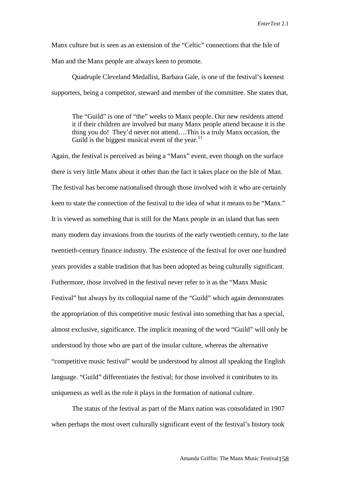Manx culture but is seen as an extension of the "Celtic" connections that the Isle of Man and the Manx people are always keen to promote.

Quadruple Cleveland Medallist, Barbara Gale, is one of the festival's keenest supporters, being a competitor, steward and member of the committee. She states that,

The "Guild" is one of "the" weeks to Manx people. Our new residents attend it if their children are involved but many Manx people attend because it is the thing you do! They'd never not attend….This is a truly Manx occasion, the Guild is the biggest musical event of the year. $^{11}$ 

Again, the festival is perceived as being a "Manx" event, even though on the surface there is very little Manx about it other than the fact it takes place on the Isle of Man. The festival has become nationalised through those involved with it who are certainly keen to state the connection of the festival to the idea of what it means to be "Manx." It is viewed as something that is still for the Manx people in an island that has seen many modern day invasions from the tourists of the early twentieth century, to the late twentieth-century finance industry. The existence of the festival for over one hundred years provides a stable tradition that has been adopted as being culturally significant. Futhermore, those involved in the festival never refer to it as the "Manx Music Festival" but always by its colloquial name of the "Guild" which again demonstrates the appropriation of this competitive music festival into something that has a special, almost exclusive, significance. The implicit meaning of the word "Guild" will only be understood by those who are part of the insular culture, whereas the alternative "competitive music festival" would be understood by almost all speaking the English language. "Guild" differentiates the festival; for those involved it contributes to its uniqueness as well as the role it plays in the formation of national culture.

The status of the festival as part of the Manx nation was consolidated in 1907 when perhaps the most overt culturally significant event of the festival's history took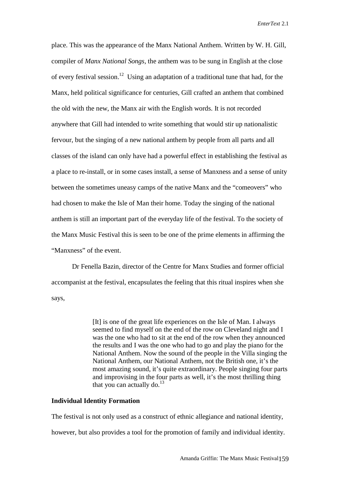place. This was the appearance of the Manx National Anthem. Written by W. H. Gill, compiler of *Manx National Songs*, the anthem was to be sung in English at the close of every festival session.<sup>12</sup> Using an adaptation of a traditional tune that had, for the Manx, held political significance for centuries, Gill crafted an anthem that combined the old with the new, the Manx air with the English words. It is not recorded anywhere that Gill had intended to write something that would stir up nationalistic fervour, but the singing of a new national anthem by people from all parts and all classes of the island can only have had a powerful effect in establishing the festival as a place to re-install, or in some cases install, a sense of Manxness and a sense of unity between the sometimes uneasy camps of the native Manx and the "comeovers" who had chosen to make the Isle of Man their home. Today the singing of the national anthem is still an important part of the everyday life of the festival. To the society of the Manx Music Festival this is seen to be one of the prime elements in affirming the "Manxness" of the event.

Dr Fenella Bazin, director of the Centre for Manx Studies and former official accompanist at the festival, encapsulates the feeling that this ritual inspires when she says,

> [It] is one of the great life experiences on the Isle of Man. I always seemed to find myself on the end of the row on Cleveland night and I was the one who had to sit at the end of the row when they announced the results and I was the one who had to go and play the piano for the National Anthem. Now the sound of the people in the Villa singing the National Anthem, our National Anthem, not the British one, it's the most amazing sound, it's quite extraordinary. People singing four parts and improvising in the four parts as well, it's the most thrilling thing that you can actually do. $^{13}$

#### **Individual Identity Formation**

The festival is not only used as a construct of ethnic allegiance and national identity,

however, but also provides a tool for the promotion of family and individual identity.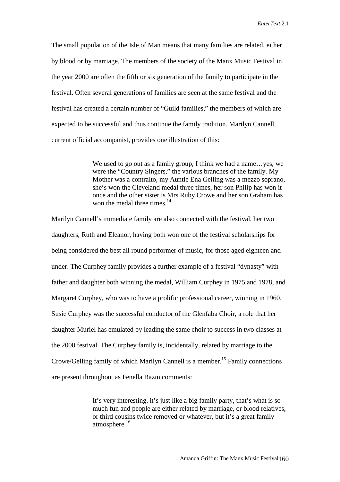The small population of the Isle of Man means that many families are related, either by blood or by marriage. The members of the society of the Manx Music Festival in the year 2000 are often the fifth or six generation of the family to participate in the festival. Often several generations of families are seen at the same festival and the festival has created a certain number of "Guild families," the members of which are expected to be successful and thus continue the family tradition. Marilyn Cannell, current official accompanist, provides one illustration of this:

> We used to go out as a family group, I think we had a name…yes, we were the "Country Singers," the various branches of the family. My Mother was a contralto, my Auntie Ena Gelling was a mezzo soprano, she's won the Cleveland medal three times, her son Philip has won it once and the other sister is Mrs Ruby Crowe and her son Graham has won the medal three times.<sup>14</sup>

Marilyn Cannell's immediate family are also connected with the festival, her two daughters, Ruth and Eleanor, having both won one of the festival scholarships for being considered the best all round performer of music, for those aged eighteen and under. The Curphey family provides a further example of a festival "dynasty" with father and daughter both winning the medal, William Curphey in 1975 and 1978, and Margaret Curphey, who was to have a prolific professional career, winning in 1960. Susie Curphey was the successful conductor of the Glenfaba Choir, a role that her daughter Muriel has emulated by leading the same choir to success in two classes at the 2000 festival. The Curphey family is, incidentally, related by marriage to the Crowe/Gelling family of which Marilyn Cannell is a member.<sup>15</sup> Family connections are present throughout as Fenella Bazin comments:

> It's very interesting, it's just like a big family party, that's what is so much fun and people are either related by marriage, or blood relatives, or third cousins twice removed or whatever, but it's a great family atmosphere.<sup>16</sup>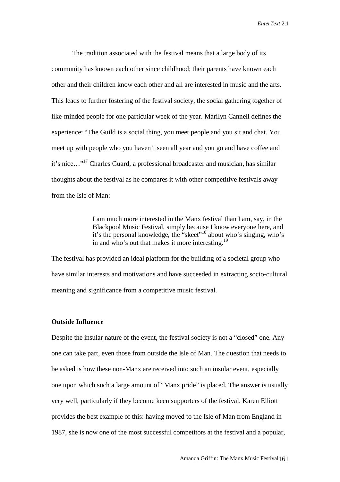The tradition associated with the festival means that a large body of its community has known each other since childhood; their parents have known each other and their children know each other and all are interested in music and the arts. This leads to further fostering of the festival society, the social gathering together of like-minded people for one particular week of the year. Marilyn Cannell defines the experience: "The Guild is a social thing, you meet people and you sit and chat. You meet up with people who you haven't seen all year and you go and have coffee and it's nice…"17 Charles Guard, a professional broadcaster and musician, has similar thoughts about the festival as he compares it with other competitive festivals away from the Isle of Man:

> I am much more interested in the Manx festival than I am, say, in the Blackpool Music Festival, simply because I know everyone here, and it's the personal knowledge, the "skeet"18 about who's singing, who's in and who's out that makes it more interesting.<sup>19</sup>

The festival has provided an ideal platform for the building of a societal group who have similar interests and motivations and have succeeded in extracting socio-cultural meaning and significance from a competitive music festival.

## **Outside Influence**

Despite the insular nature of the event, the festival society is not a "closed" one. Any one can take part, even those from outside the Isle of Man. The question that needs to be asked is how these non-Manx are received into such an insular event, especially one upon which such a large amount of "Manx pride" is placed. The answer is usually very well, particularly if they become keen supporters of the festival. Karen Elliott provides the best example of this: having moved to the Isle of Man from England in 1987, she is now one of the most successful competitors at the festival and a popular,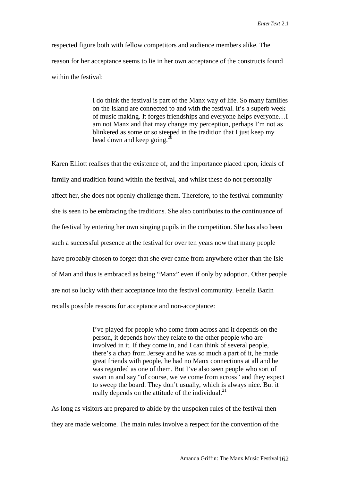respected figure both with fellow competitors and audience members alike. The reason for her acceptance seems to lie in her own acceptance of the constructs found within the festival:

> I do think the festival is part of the Manx way of life. So many families on the Island are connected to and with the festival. It's a superb week of music making. It forges friendships and everyone helps everyone…I am not Manx and that may change my perception, perhaps I'm not as blinkered as some or so steeped in the tradition that I just keep my head down and keep going. $^{20}$

Karen Elliott realises that the existence of, and the importance placed upon, ideals of family and tradition found within the festival, and whilst these do not personally affect her, she does not openly challenge them. Therefore, to the festival community she is seen to be embracing the traditions. She also contributes to the continuance of the festival by entering her own singing pupils in the competition. She has also been such a successful presence at the festival for over ten years now that many people have probably chosen to forget that she ever came from anywhere other than the Isle of Man and thus is embraced as being "Manx" even if only by adoption. Other people are not so lucky with their acceptance into the festival community. Fenella Bazin recalls possible reasons for acceptance and non-acceptance:

> I've played for people who come from across and it depends on the person, it depends how they relate to the other people who are involved in it. If they come in, and I can think of several people, there's a chap from Jersey and he was so much a part of it, he made great friends with people, he had no Manx connections at all and he was regarded as one of them. But I've also seen people who sort of swan in and say "of course, we've come from across" and they expect to sweep the board. They don't usually, which is always nice. But it really depends on the attitude of the individual. $^{21}$

As long as visitors are prepared to abide by the unspoken rules of the festival then they are made welcome. The main rules involve a respect for the convention of the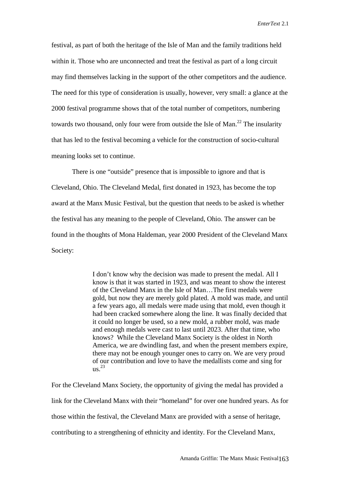festival, as part of both the heritage of the Isle of Man and the family traditions held within it. Those who are unconnected and treat the festival as part of a long circuit may find themselves lacking in the support of the other competitors and the audience. The need for this type of consideration is usually, however, very small: a glance at the 2000 festival programme shows that of the total number of competitors, numbering towards two thousand, only four were from outside the Isle of Man.<sup>22</sup> The insularity that has led to the festival becoming a vehicle for the construction of socio-cultural meaning looks set to continue.

There is one "outside" presence that is impossible to ignore and that is Cleveland, Ohio. The Cleveland Medal, first donated in 1923, has become the top award at the Manx Music Festival, but the question that needs to be asked is whether the festival has any meaning to the people of Cleveland, Ohio. The answer can be found in the thoughts of Mona Haldeman, year 2000 President of the Cleveland Manx Society:

> I don't know why the decision was made to present the medal. All I know is that it was started in 1923, and was meant to show the interest of the Cleveland Manx in the Isle of Man…The first medals were gold, but now they are merely gold plated. A mold was made, and until a few years ago, all medals were made using that mold, even though it had been cracked somewhere along the line. It was finally decided that it could no longer be used, so a new mold, a rubber mold, was made and enough medals were cast to last until 2023. After that time, who knows? While the Cleveland Manx Society is the oldest in North America, we are dwindling fast, and when the present members expire, there may not be enough younger ones to carry on. We are very proud of our contribution and love to have the medallists come and sing for  $\text{us}^2$ <sup>23</sup>

For the Cleveland Manx Society, the opportunity of giving the medal has provided a link for the Cleveland Manx with their "homeland" for over one hundred years. As for those within the festival, the Cleveland Manx are provided with a sense of heritage, contributing to a strengthening of ethnicity and identity. For the Cleveland Manx,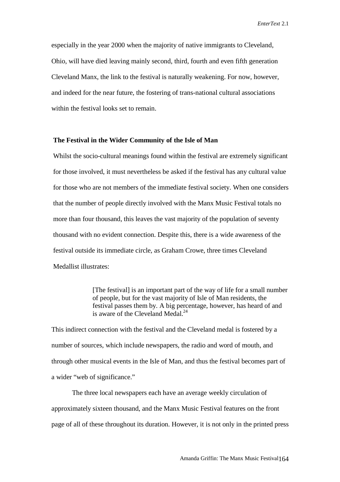especially in the year 2000 when the majority of native immigrants to Cleveland, Ohio, will have died leaving mainly second, third, fourth and even fifth generation Cleveland Manx, the link to the festival is naturally weakening. For now, however, and indeed for the near future, the fostering of trans-national cultural associations within the festival looks set to remain.

## **The Festival in the Wider Community of the Isle of Man**

Whilst the socio-cultural meanings found within the festival are extremely significant for those involved, it must nevertheless be asked if the festival has any cultural value for those who are not members of the immediate festival society. When one considers that the number of people directly involved with the Manx Music Festival totals no more than four thousand, this leaves the vast majority of the population of seventy thousand with no evident connection. Despite this, there is a wide awareness of the festival outside its immediate circle, as Graham Crowe, three times Cleveland Medallist illustrates:

> [The festival] is an important part of the way of life for a small number of people, but for the vast majority of Isle of Man residents, the festival passes them by. A big percentage, however, has heard of and is aware of the Cleveland Medal. $^{24}$

This indirect connection with the festival and the Cleveland medal is fostered by a number of sources, which include newspapers, the radio and word of mouth, and through other musical events in the Isle of Man, and thus the festival becomes part of a wider "web of significance."

The three local newspapers each have an average weekly circulation of approximately sixteen thousand, and the Manx Music Festival features on the front page of all of these throughout its duration. However, it is not only in the printed press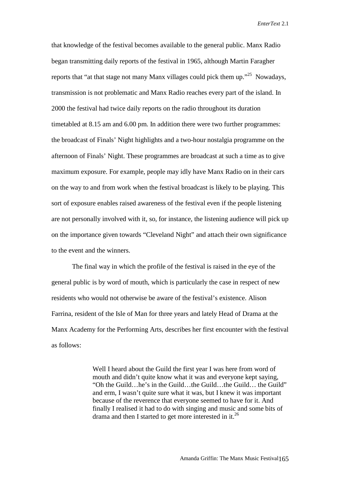that knowledge of the festival becomes available to the general public. Manx Radio began transmitting daily reports of the festival in 1965, although Martin Faragher reports that "at that stage not many Manx villages could pick them up."<sup>25</sup> Nowadays. transmission is not problematic and Manx Radio reaches every part of the island. In 2000 the festival had twice daily reports on the radio throughout its duration timetabled at 8.15 am and 6.00 pm. In addition there were two further programmes: the broadcast of Finals' Night highlights and a two-hour nostalgia programme on the afternoon of Finals' Night. These programmes are broadcast at such a time as to give maximum exposure. For example, people may idly have Manx Radio on in their cars on the way to and from work when the festival broadcast is likely to be playing. This sort of exposure enables raised awareness of the festival even if the people listening are not personally involved with it, so, for instance, the listening audience will pick up on the importance given towards "Cleveland Night" and attach their own significance to the event and the winners.

The final way in which the profile of the festival is raised in the eye of the general public is by word of mouth, which is particularly the case in respect of new residents who would not otherwise be aware of the festival's existence. Alison Farrina, resident of the Isle of Man for three years and lately Head of Drama at the Manx Academy for the Performing Arts, describes her first encounter with the festival as follows:

> Well I heard about the Guild the first year I was here from word of mouth and didn't quite know what it was and everyone kept saying, "Oh the Guild…he's in the Guild…the Guild…the Guild… the Guild" and erm, I wasn't quite sure what it was, but I knew it was important because of the reverence that everyone seemed to have for it. And finally I realised it had to do with singing and music and some bits of drama and then I started to get more interested in it.<sup>26</sup>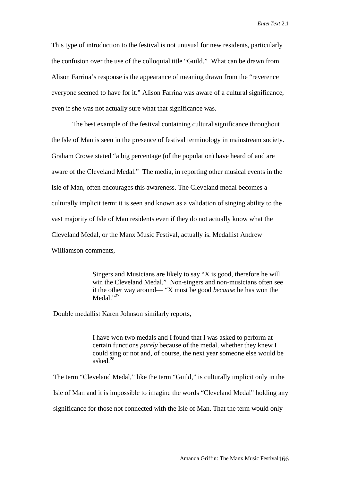This type of introduction to the festival is not unusual for new residents, particularly the confusion over the use of the colloquial title "Guild." What can be drawn from Alison Farrina's response is the appearance of meaning drawn from the "reverence everyone seemed to have for it." Alison Farrina was aware of a cultural significance, even if she was not actually sure what that significance was.

The best example of the festival containing cultural significance throughout the Isle of Man is seen in the presence of festival terminology in mainstream society. Graham Crowe stated "a big percentage (of the population) have heard of and are aware of the Cleveland Medal." The media, in reporting other musical events in the Isle of Man, often encourages this awareness. The Cleveland medal becomes a culturally implicit term: it is seen and known as a validation of singing ability to the vast majority of Isle of Man residents even if they do not actually know what the Cleveland Medal, or the Manx Music Festival, actually is. Medallist Andrew Williamson comments,

> Singers and Musicians are likely to say "X is good, therefore he will win the Cleveland Medal." Non-singers and non-musicians often see it the other way around— "X must be good *because* he has won the Medal."<sup>27</sup>

Double medallist Karen Johnson similarly reports,

I have won two medals and I found that I was asked to perform at certain functions *purely* because of the medal, whether they knew I could sing or not and, of course, the next year someone else would be asked $^{28}$ 

The term "Cleveland Medal," like the term "Guild," is culturally implicit only in the Isle of Man and it is impossible to imagine the words "Cleveland Medal" holding any significance for those not connected with the Isle of Man. That the term would only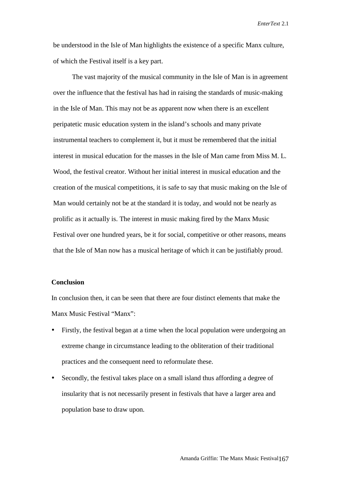be understood in the Isle of Man highlights the existence of a specific Manx culture, of which the Festival itself is a key part.

The vast majority of the musical community in the Isle of Man is in agreement over the influence that the festival has had in raising the standards of music-making in the Isle of Man. This may not be as apparent now when there is an excellent peripatetic music education system in the island's schools and many private instrumental teachers to complement it, but it must be remembered that the initial interest in musical education for the masses in the Isle of Man came from Miss M. L. Wood, the festival creator. Without her initial interest in musical education and the creation of the musical competitions, it is safe to say that music making on the Isle of Man would certainly not be at the standard it is today, and would not be nearly as prolific as it actually is. The interest in music making fired by the Manx Music Festival over one hundred years, be it for social, competitive or other reasons, means that the Isle of Man now has a musical heritage of which it can be justifiably proud.

## **Conclusion**

In conclusion then, it can be seen that there are four distinct elements that make the Manx Music Festival "Manx":

- Firstly, the festival began at a time when the local population were undergoing an extreme change in circumstance leading to the obliteration of their traditional practices and the consequent need to reformulate these.
- Secondly, the festival takes place on a small island thus affording a degree of insularity that is not necessarily present in festivals that have a larger area and population base to draw upon.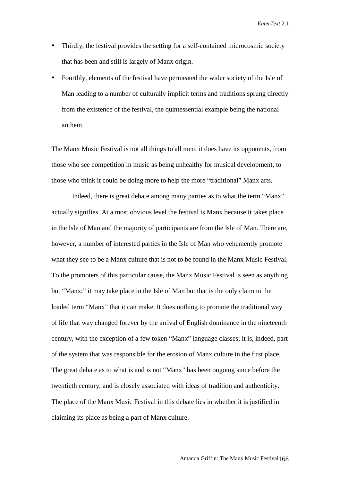- Thirdly, the festival provides the setting for a self-contained microcosmic society that has been and still is largely of Manx origin.
- Fourthly, elements of the festival have permeated the wider society of the Isle of Man leading to a number of culturally implicit terms and traditions sprung directly from the existence of the festival, the quintessential example being the national anthem.

The Manx Music Festival is not all things to all men; it does have its opponents, from those who see competition in music as being unhealthy for musical development, to those who think it could be doing more to help the more "traditional" Manx arts.

Indeed, there is great debate among many parties as to what the term "Manx" actually signifies. At a most obvious level the festival is Manx because it takes place in the Isle of Man and the majority of participants are from the Isle of Man. There are, however, a number of interested parties in the Isle of Man who vehemently promote what they see to be a Manx culture that is not to be found in the Manx Music Festival. To the promoters of this particular cause, the Manx Music Festival is seen as anything but "Manx;" it may take place in the Isle of Man but that is the only claim to the loaded term "Manx" that it can make. It does nothing to promote the traditional way of life that way changed forever by the arrival of English dominance in the nineteenth century, with the exception of a few token "Manx" language classes; it is, indeed, part of the system that was responsible for the erosion of Manx culture in the first place. The great debate as to what is and is not "Manx" has been ongoing since before the twentieth century, and is closely associated with ideas of tradition and authenticity. The place of the Manx Music Festival in this debate lies in whether it is justified in claiming its place as being a part of Manx culture.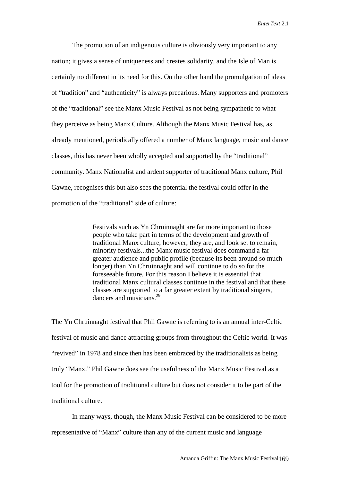The promotion of an indigenous culture is obviously very important to any nation; it gives a sense of uniqueness and creates solidarity, and the Isle of Man is certainly no different in its need for this. On the other hand the promulgation of ideas of "tradition" and "authenticity" is always precarious. Many supporters and promoters of the "traditional" see the Manx Music Festival as not being sympathetic to what they perceive as being Manx Culture. Although the Manx Music Festival has, as already mentioned, periodically offered a number of Manx language, music and dance classes, this has never been wholly accepted and supported by the "traditional" community. Manx Nationalist and ardent supporter of traditional Manx culture, Phil Gawne, recognises this but also sees the potential the festival could offer in the promotion of the "traditional" side of culture:

> Festivals such as Yn Chruinnaght are far more important to those people who take part in terms of the development and growth of traditional Manx culture, however, they are, and look set to remain, minority festivals...the Manx music festival does command a far greater audience and public profile (because its been around so much longer) than Yn Chruinnaght and will continue to do so for the foreseeable future. For this reason I believe it is essential that traditional Manx cultural classes continue in the festival and that these classes are supported to a far greater extent by traditional singers, dancers and musicians.<sup>29</sup>

The Yn Chruinnaght festival that Phil Gawne is referring to is an annual inter-Celtic festival of music and dance attracting groups from throughout the Celtic world. It was "revived" in 1978 and since then has been embraced by the traditionalists as being truly "Manx." Phil Gawne does see the usefulness of the Manx Music Festival as a tool for the promotion of traditional culture but does not consider it to be part of the traditional culture.

In many ways, though, the Manx Music Festival can be considered to be more representative of "Manx" culture than any of the current music and language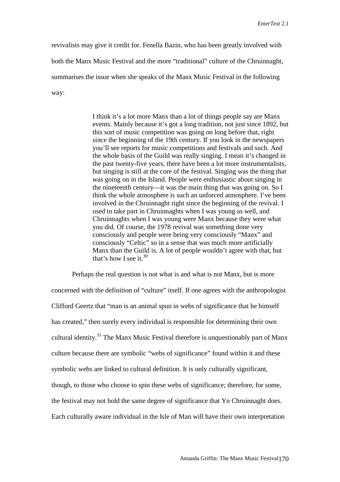revivalists may give it credit for. Fenella Bazin, who has been greatly involved with both the Manx Music Festival and the more "traditional" culture of the Chruinnaght, summarises the issue when she speaks of the Manx Music Festival in the following way:

> I think it's a lot more Manx than a lot of things people say are Manx events. Mainly because it's got a long tradition, not just since 1892, but this sort of music competition was going on long before that, right since the beginning of the 19th century. If you look in the newspapers you'll see reports for music competitions and festivals and such. And the whole basis of the Guild was really singing. I mean it's changed in the past twenty-five years, there have been a lot more instrumentalists, but singing is still at the core of the festival. Singing was the thing that was going on in the Island. People were enthusiastic about singing in the nineteenth century—it was the main thing that was going on. So I think the whole atmosphere is such an unforced atmosphere. I've been involved in the Chruinnaght right since the beginning of the revival. I used to take part in Chruinnaghts when I was young as well, and Chruinnaghts when I was young were Manx because they were what you did. Of course, the 1978 revival was something done very consciously and people were being very consciously "Manx" and consciously "Celtic" so in a sense that was much more artificially Manx than the Guild is. A lot of people wouldn't agree with that, but that's how I see it.<sup>30</sup>

Perhaps the real question is not what is and what is not Manx, but is more concerned with the definition of "culture" itself. If one agrees with the anthropologist Clifford Geertz that "man is an animal spun in webs of significance that he himself has created," then surely every individual is responsible for determining their own cultural identity.<sup>31</sup> The Manx Music Festival therefore is unquestionably part of Manx culture because there are symbolic "webs of significance" found within it and these symbolic webs are linked to cultural definition. It is only culturally significant, though, to those who choose to spin these webs of significance; therefore, for some, the festival may not hold the same degree of significance that Yn Chruinnaght does. Each culturally aware individual in the Isle of Man will have their own interpretation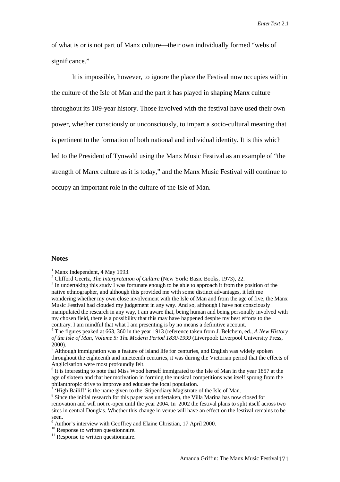of what is or is not part of Manx culture—their own individually formed "webs of significance."

It is impossible, however, to ignore the place the Festival now occupies within the culture of the Isle of Man and the part it has played in shaping Manx culture throughout its 109-year history. Those involved with the festival have used their own power, whether consciously or unconsciously, to impart a socio-cultural meaning that is pertinent to the formation of both national and individual identity. It is this which led to the President of Tynwald using the Manx Music Festival as an example of "the strength of Manx culture as it is today," and the Manx Music Festival will continue to occupy an important role in the culture of the Isle of Man.

#### **Notes**

 $\overline{a}$ 

<sup>&</sup>lt;sup>1</sup> Manx Independent, 4 May 1993.

<sup>&</sup>lt;sup>2</sup> Clifford Geertz, *The Interpretation of Culture* (New York: Basic Books, 1973), 22.  $3 \text{ In understanding this study.}$ 

<sup>&</sup>lt;sup>3</sup> In undertaking this study I was fortunate enough to be able to approach it from the position of the native ethnographer, and although this provided me with some distinct advantages, it left me wondering whether my own close involvement with the Isle of Man and from the age of five, the Manx Music Festival had clouded my judgement in any way. And so, although I have not consciously manipulated the research in any way, I am aware that, being human and being personally involved with my chosen field, there is a possibility that this may have happened despite my best efforts to the contrary. I am mindful that what I am presenting is by no means a definitive account. 4 The figures peaked at 663, 360 in the year 1913 (reference taken from J. Belchem, ed., *A New History*

*of the Isle of Man, Volume 5: The Modern Period 1830-1999* (Liverpool: Liverpool University Press, 2000).

<sup>&</sup>lt;sup>5</sup> Although immigration was a feature of island life for centuries, and English was widely spoken throughout the eighteenth and nineteenth centuries, it was during the Victorian period that the effects of Anglicisation were most profoundly felt.<br><sup>6</sup> It is interesting to note that Miss Wood herself immigrated to the Isle of Man in the year 1857 at the

age of sixteen and that her motivation in forming the musical competitions was itself sprung from the philanthropic drive to improve and educate the local population.

<sup>&</sup>lt;sup>7</sup> 'High Bailiff' is the name given to the Stipendiary Magistrate of the Isle of Man.

<sup>&</sup>lt;sup>8</sup> Since the initial research for this paper was undertaken, the Villa Marina has now closed for renovation and will not re-open until the year 2004. In 2002 the festival plans to split itself across two sites in central Douglas. Whether this change in venue will have an effect on the festival remains to be seen.

<sup>&</sup>lt;sup>9</sup> Author's interview with Geoffrey and Elaine Christian, 17 April 2000.

<sup>&</sup>lt;sup>10</sup> Response to written questionnaire.

 $11$  Response to written questionnaire.